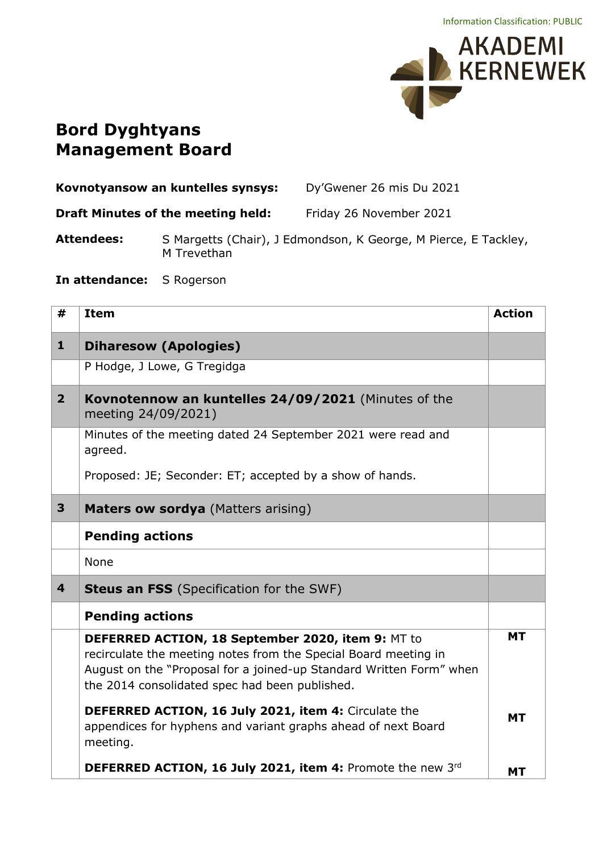

## **Bord Dyghtyans Management Board**

| Kovnotyansow an kuntelles synsys: |                                           | Dy'Gwener 26 mis Du 2021                                        |
|-----------------------------------|-------------------------------------------|-----------------------------------------------------------------|
|                                   | <b>Draft Minutes of the meeting held:</b> | Friday 26 November 2021                                         |
| <b>Attendees:</b>                 | M Trevethan                               | S Margetts (Chair), J Edmondson, K George, M Pierce, E Tackley, |

**In attendance:** S Rogerson

| #                       | <b>Item</b>                                                                                                                                                                                                                                   | <b>Action</b> |
|-------------------------|-----------------------------------------------------------------------------------------------------------------------------------------------------------------------------------------------------------------------------------------------|---------------|
| $\mathbf{1}$            | <b>Diharesow (Apologies)</b>                                                                                                                                                                                                                  |               |
|                         | P Hodge, J Lowe, G Tregidga                                                                                                                                                                                                                   |               |
| $\overline{2}$          | Kovnotennow an kuntelles 24/09/2021 (Minutes of the<br>meeting 24/09/2021)                                                                                                                                                                    |               |
|                         | Minutes of the meeting dated 24 September 2021 were read and<br>agreed.                                                                                                                                                                       |               |
|                         | Proposed: JE; Seconder: ET; accepted by a show of hands.                                                                                                                                                                                      |               |
| $\overline{\mathbf{3}}$ | Maters ow sordya (Matters arising)                                                                                                                                                                                                            |               |
|                         | <b>Pending actions</b>                                                                                                                                                                                                                        |               |
|                         | None                                                                                                                                                                                                                                          |               |
| $\overline{\mathbf{4}}$ | <b>Steus an FSS</b> (Specification for the SWF)                                                                                                                                                                                               |               |
|                         | <b>Pending actions</b>                                                                                                                                                                                                                        |               |
|                         | DEFERRED ACTION, 18 September 2020, item 9: MT to<br>recirculate the meeting notes from the Special Board meeting in<br>August on the "Proposal for a joined-up Standard Written Form" when<br>the 2014 consolidated spec had been published. | <b>MT</b>     |
|                         | DEFERRED ACTION, 16 July 2021, item 4: Circulate the<br>appendices for hyphens and variant graphs ahead of next Board<br>meeting.                                                                                                             | <b>MT</b>     |
|                         | DEFERRED ACTION, 16 July 2021, item 4: Promote the new 3rd                                                                                                                                                                                    | <b>MT</b>     |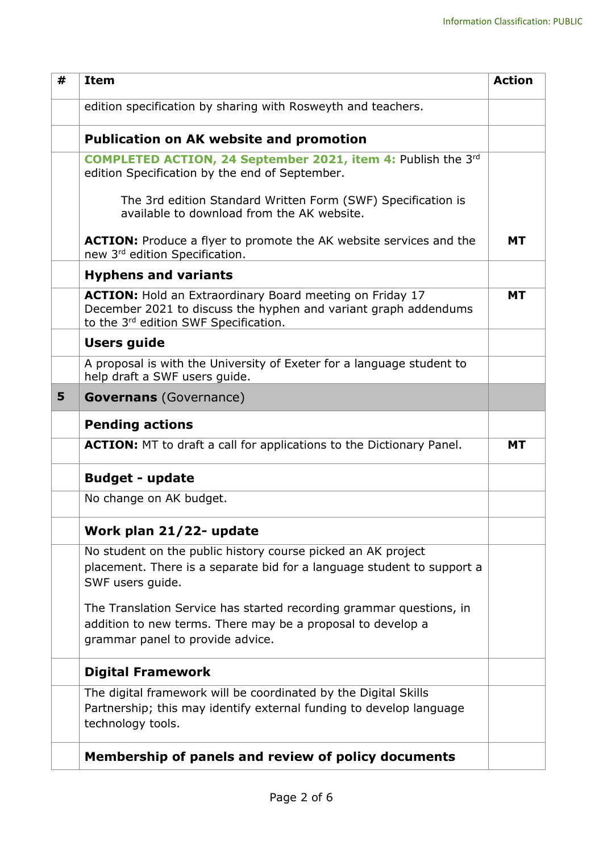| # | <b>Item</b>                                                                                                                                                                 | <b>Action</b> |
|---|-----------------------------------------------------------------------------------------------------------------------------------------------------------------------------|---------------|
|   | edition specification by sharing with Rosweyth and teachers.                                                                                                                |               |
|   | <b>Publication on AK website and promotion</b>                                                                                                                              |               |
|   | <b>COMPLETED ACTION, 24 September 2021, item 4: Publish the 3rd</b><br>edition Specification by the end of September.                                                       |               |
|   | The 3rd edition Standard Written Form (SWF) Specification is<br>available to download from the AK website.                                                                  |               |
|   | <b>ACTION:</b> Produce a flyer to promote the AK website services and the<br>new 3rd edition Specification.                                                                 | <b>MT</b>     |
|   | <b>Hyphens and variants</b>                                                                                                                                                 |               |
|   | <b>ACTION:</b> Hold an Extraordinary Board meeting on Friday 17<br>December 2021 to discuss the hyphen and variant graph addendums<br>to the 3rd edition SWF Specification. | <b>MT</b>     |
|   | <b>Users guide</b>                                                                                                                                                          |               |
|   | A proposal is with the University of Exeter for a language student to<br>help draft a SWF users guide.                                                                      |               |
| 5 | <b>Governans</b> (Governance)                                                                                                                                               |               |
|   | <b>Pending actions</b>                                                                                                                                                      |               |
|   | <b>ACTION:</b> MT to draft a call for applications to the Dictionary Panel.                                                                                                 | <b>MT</b>     |
|   | <b>Budget - update</b>                                                                                                                                                      |               |
|   | No change on AK budget.                                                                                                                                                     |               |
|   | Work plan 21/22- update                                                                                                                                                     |               |
|   | No student on the public history course picked an AK project<br>placement. There is a separate bid for a language student to support a<br>SWF users guide.                  |               |
|   | The Translation Service has started recording grammar questions, in<br>addition to new terms. There may be a proposal to develop a<br>grammar panel to provide advice.      |               |
|   | <b>Digital Framework</b>                                                                                                                                                    |               |
|   | The digital framework will be coordinated by the Digital Skills<br>Partnership; this may identify external funding to develop language<br>technology tools.                 |               |
|   | Membership of panels and review of policy documents                                                                                                                         |               |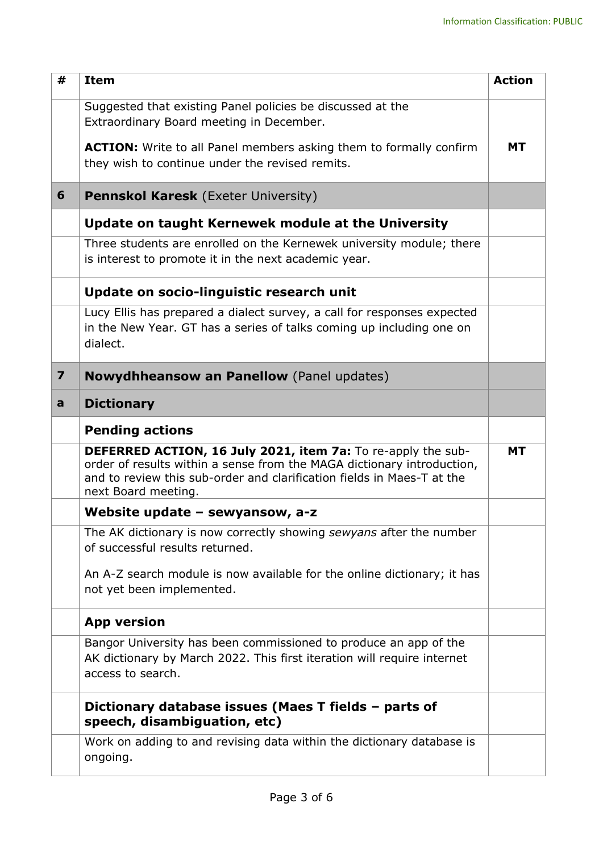| #                       | <b>Item</b>                                                                                                                                                                                                                             | <b>Action</b> |
|-------------------------|-----------------------------------------------------------------------------------------------------------------------------------------------------------------------------------------------------------------------------------------|---------------|
|                         | Suggested that existing Panel policies be discussed at the<br>Extraordinary Board meeting in December.                                                                                                                                  |               |
|                         | <b>ACTION:</b> Write to all Panel members asking them to formally confirm<br>they wish to continue under the revised remits.                                                                                                            | МT            |
| 6                       | <b>Pennskol Karesk</b> (Exeter University)                                                                                                                                                                                              |               |
|                         | Update on taught Kernewek module at the University                                                                                                                                                                                      |               |
|                         | Three students are enrolled on the Kernewek university module; there<br>is interest to promote it in the next academic year.                                                                                                            |               |
|                         | Update on socio-linguistic research unit                                                                                                                                                                                                |               |
|                         | Lucy Ellis has prepared a dialect survey, a call for responses expected<br>in the New Year. GT has a series of talks coming up including one on<br>dialect.                                                                             |               |
| $\overline{\mathbf{z}}$ | <b>Nowydhheansow an Panellow</b> (Panel updates)                                                                                                                                                                                        |               |
| a                       | <b>Dictionary</b>                                                                                                                                                                                                                       |               |
|                         | <b>Pending actions</b>                                                                                                                                                                                                                  |               |
|                         | DEFERRED ACTION, 16 July 2021, item 7a: To re-apply the sub-<br>order of results within a sense from the MAGA dictionary introduction,<br>and to review this sub-order and clarification fields in Maes-T at the<br>next Board meeting. | МT            |
|                         | Website update $-$ sewyansow, a-z                                                                                                                                                                                                       |               |
|                         | The AK dictionary is now correctly showing sewyans after the number<br>of successful results returned.                                                                                                                                  |               |
|                         | An A-Z search module is now available for the online dictionary; it has<br>not yet been implemented.                                                                                                                                    |               |
|                         | <b>App version</b>                                                                                                                                                                                                                      |               |
|                         | Bangor University has been commissioned to produce an app of the<br>AK dictionary by March 2022. This first iteration will require internet<br>access to search.                                                                        |               |
|                         | Dictionary database issues (Maes T fields - parts of<br>speech, disambiguation, etc)                                                                                                                                                    |               |
|                         | Work on adding to and revising data within the dictionary database is<br>ongoing.                                                                                                                                                       |               |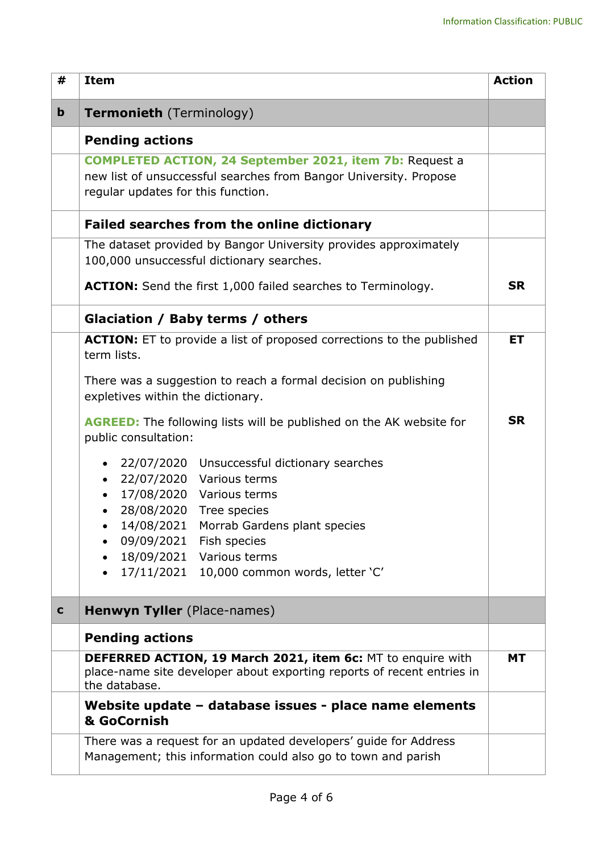| #           | <b>Item</b>                                                                                                                                                               | <b>Action</b> |
|-------------|---------------------------------------------------------------------------------------------------------------------------------------------------------------------------|---------------|
| $\mathbf b$ | <b>Termonieth</b> (Terminology)                                                                                                                                           |               |
|             | <b>Pending actions</b>                                                                                                                                                    |               |
|             | <b>COMPLETED ACTION, 24 September 2021, item 7b: Request a</b><br>new list of unsuccessful searches from Bangor University. Propose<br>regular updates for this function. |               |
|             | <b>Failed searches from the online dictionary</b>                                                                                                                         |               |
|             | The dataset provided by Bangor University provides approximately<br>100,000 unsuccessful dictionary searches.                                                             |               |
|             | <b>ACTION:</b> Send the first 1,000 failed searches to Terminology.                                                                                                       | <b>SR</b>     |
|             | Glaciation / Baby terms / others                                                                                                                                          |               |
|             | <b>ACTION:</b> ET to provide a list of proposed corrections to the published<br>term lists.                                                                               | ET            |
|             | There was a suggestion to reach a formal decision on publishing<br>expletives within the dictionary.                                                                      |               |
|             | <b>AGREED:</b> The following lists will be published on the AK website for<br>public consultation:                                                                        | <b>SR</b>     |
|             | 22/07/2020 Unsuccessful dictionary searches<br>$\bullet$<br>22/07/2020 Various terms<br>$\bullet$<br>17/08/2020 Various terms<br>28/08/2020 Tree species                  |               |
|             | 14/08/2021<br>Morrab Gardens plant species<br>09/09/2021 Fish species                                                                                                     |               |
|             | 18/09/2021 Various terms                                                                                                                                                  |               |
|             | 17/11/2021  10,000 common words, letter 'C'<br>$\bullet$                                                                                                                  |               |
| $\mathbf c$ | Henwyn Tyller (Place-names)                                                                                                                                               |               |
|             | <b>Pending actions</b>                                                                                                                                                    |               |
|             | DEFERRED ACTION, 19 March 2021, item 6c: MT to enquire with<br>place-name site developer about exporting reports of recent entries in<br>the database.                    | <b>MT</b>     |
|             | Website update - database issues - place name elements<br>& GoCornish                                                                                                     |               |
|             | There was a request for an updated developers' guide for Address<br>Management; this information could also go to town and parish                                         |               |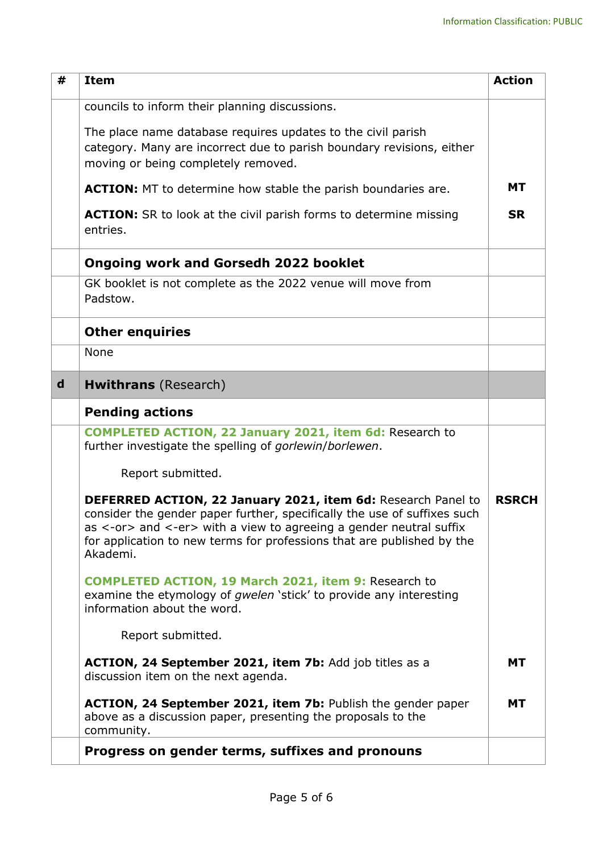| #           | <b>Item</b>                                                                                                                                                                                                                                                                                          | <b>Action</b> |
|-------------|------------------------------------------------------------------------------------------------------------------------------------------------------------------------------------------------------------------------------------------------------------------------------------------------------|---------------|
|             | councils to inform their planning discussions.                                                                                                                                                                                                                                                       |               |
|             | The place name database requires updates to the civil parish<br>category. Many are incorrect due to parish boundary revisions, either<br>moving or being completely removed.                                                                                                                         |               |
|             | <b>ACTION:</b> MT to determine how stable the parish boundaries are.                                                                                                                                                                                                                                 | <b>MT</b>     |
|             | <b>ACTION:</b> SR to look at the civil parish forms to determine missing<br>entries.                                                                                                                                                                                                                 | <b>SR</b>     |
|             | <b>Ongoing work and Gorsedh 2022 booklet</b>                                                                                                                                                                                                                                                         |               |
|             | GK booklet is not complete as the 2022 venue will move from<br>Padstow.                                                                                                                                                                                                                              |               |
|             | <b>Other enquiries</b>                                                                                                                                                                                                                                                                               |               |
|             | None                                                                                                                                                                                                                                                                                                 |               |
| $\mathbf d$ | <b>Hwithrans</b> (Research)                                                                                                                                                                                                                                                                          |               |
|             | <b>Pending actions</b>                                                                                                                                                                                                                                                                               |               |
|             | <b>COMPLETED ACTION, 22 January 2021, item 6d: Research to</b><br>further investigate the spelling of gorlewin/borlewen.                                                                                                                                                                             |               |
|             | Report submitted.                                                                                                                                                                                                                                                                                    |               |
|             | DEFERRED ACTION, 22 January 2021, item 6d: Research Panel to<br>consider the gender paper further, specifically the use of suffixes such<br>as <-or> and <-er> with a view to agreeing a gender neutral suffix<br>for application to new terms for professions that are published by the<br>Akademi. | <b>RSRCH</b>  |
|             | <b>COMPLETED ACTION, 19 March 2021, item 9: Research to</b><br>examine the etymology of gwelen 'stick' to provide any interesting<br>information about the word.                                                                                                                                     |               |
|             | Report submitted.                                                                                                                                                                                                                                                                                    |               |
|             | ACTION, 24 September 2021, item 7b: Add job titles as a<br>discussion item on the next agenda.                                                                                                                                                                                                       | <b>MT</b>     |
|             | ACTION, 24 September 2021, item 7b: Publish the gender paper<br>above as a discussion paper, presenting the proposals to the<br>community.                                                                                                                                                           | <b>MT</b>     |
|             | Progress on gender terms, suffixes and pronouns                                                                                                                                                                                                                                                      |               |